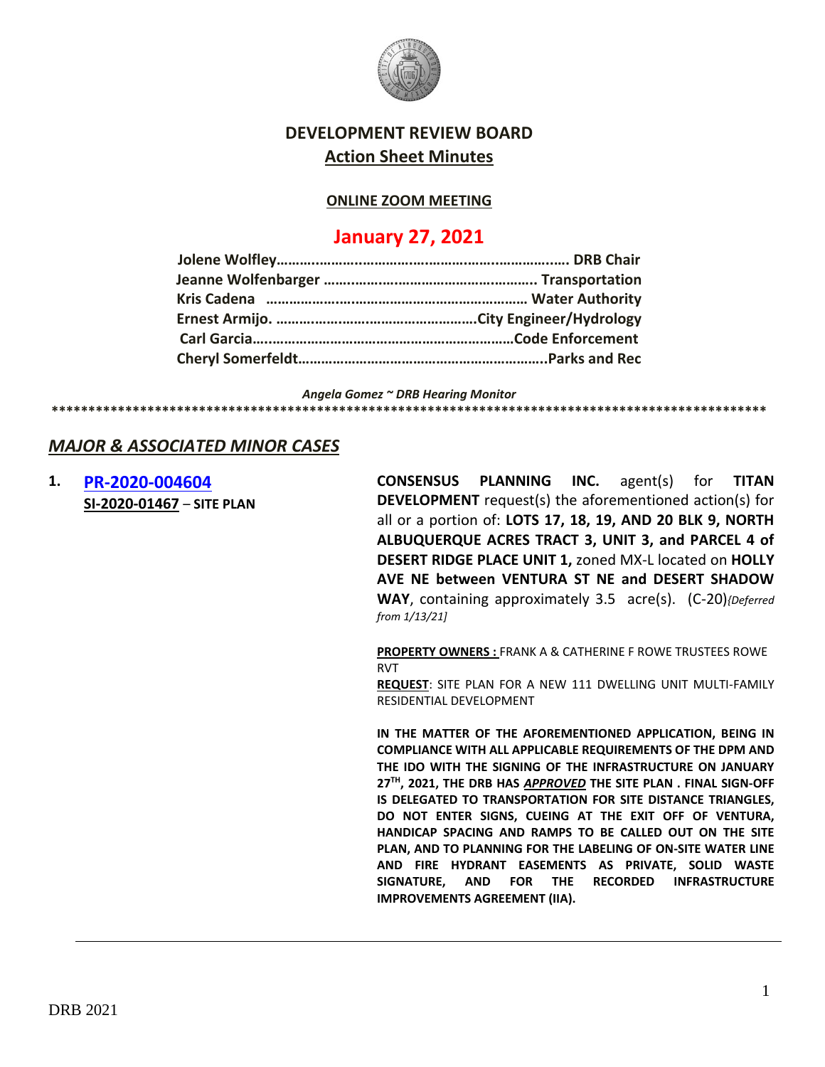

# **DEVELOPMENT REVIEW BOARD Action Sheet Minutes**

## **ONLINE ZOOM MEETING**

# **January 27, 2021**

*Angela Gomez ~ DRB Hearing Monitor*

# *MAJOR & ASSOCIATED MINOR CASES*

**1. [PR-2020-004604](http://data.cabq.gov/government/planning/DRB/PR-2020-004604/DRB%20Submittals/) SI-2020-01467** – **SITE PLAN**

**CONSENSUS PLANNING INC.** agent(s) for **TITAN DEVELOPMENT** request(s) the aforementioned action(s) for all or a portion of: **LOTS 17, 18, 19, AND 20 BLK 9, NORTH ALBUQUERQUE ACRES TRACT 3, UNIT 3, and PARCEL 4 of DESERT RIDGE PLACE UNIT 1,** zoned MX-L located on **HOLLY AVE NE between VENTURA ST NE and DESERT SHADOW WAY**, containing approximately 3.5 acre(s). (C-20)*{Deferred from 1/13/21]*

**\*\*\*\*\*\*\*\*\*\*\*\*\*\*\*\*\*\*\*\*\*\*\*\*\*\*\*\*\*\*\*\*\*\*\*\*\*\*\*\*\*\*\*\*\*\*\*\*\*\*\*\*\*\*\*\*\*\*\*\*\*\*\*\*\*\*\*\*\*\*\*\*\*\*\*\*\*\*\*\*\*\*\*\*\*\*\*\*\*\*\*\*\*\*\*\*\***

**PROPERTY OWNERS :** FRANK A & CATHERINE F ROWE TRUSTEES ROWE RVT

**REQUEST**: SITE PLAN FOR A NEW 111 DWELLING UNIT MULTI-FAMILY RESIDENTIAL DEVELOPMENT

**IN THE MATTER OF THE AFOREMENTIONED APPLICATION, BEING IN COMPLIANCE WITH ALL APPLICABLE REQUIREMENTS OF THE DPM AND THE IDO WITH THE SIGNING OF THE INFRASTRUCTURE ON JANUARY 27TH, 2021, THE DRB HAS** *APPROVED* **THE SITE PLAN . FINAL SIGN-OFF IS DELEGATED TO TRANSPORTATION FOR SITE DISTANCE TRIANGLES, DO NOT ENTER SIGNS, CUEING AT THE EXIT OFF OF VENTURA, HANDICAP SPACING AND RAMPS TO BE CALLED OUT ON THE SITE PLAN, AND TO PLANNING FOR THE LABELING OF ON-SITE WATER LINE AND FIRE HYDRANT EASEMENTS AS PRIVATE, SOLID WASTE SIGNATURE, AND FOR THE RECORDED INFRASTRUCTURE IMPROVEMENTS AGREEMENT (IIA).**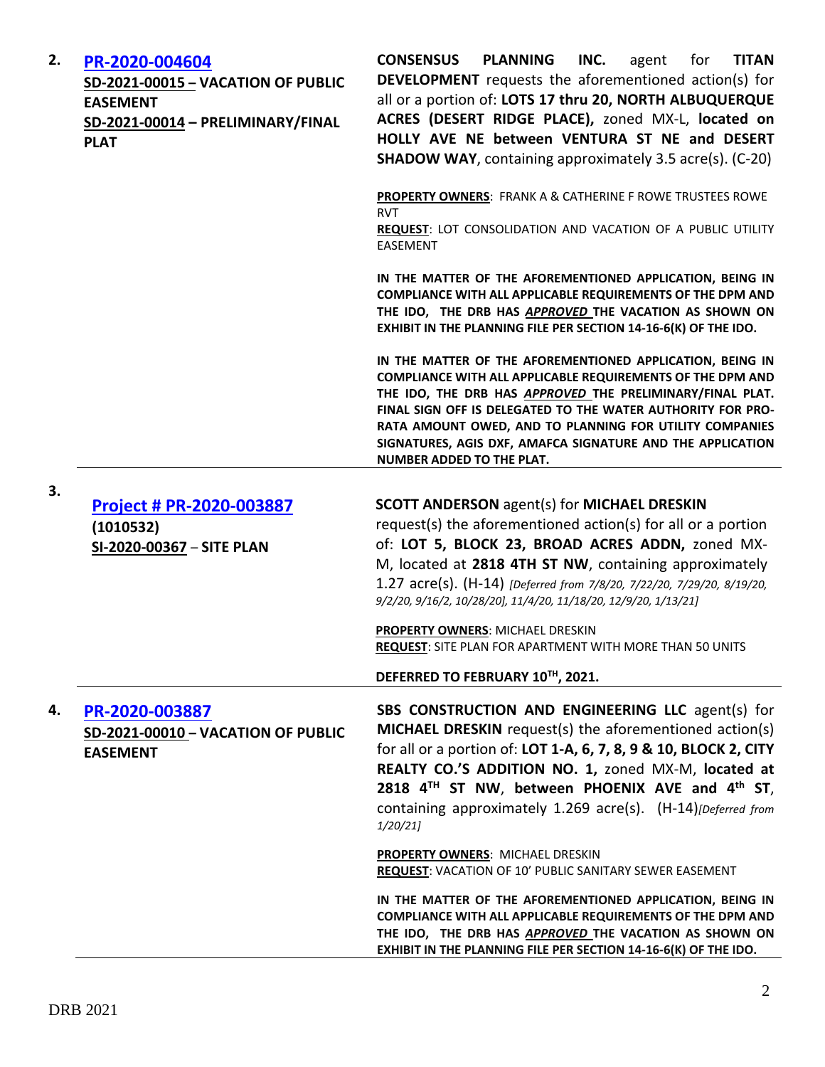| 2. | PR-2020-004604<br>SD-2021-00015 - VACATION OF PUBLIC<br><b>EASEMENT</b><br>SD-2021-00014 - PRELIMINARY/FINAL<br><b>PLAT</b> | <b>CONSENSUS</b><br><b>PLANNING</b><br>INC.<br><b>TITAN</b><br>for<br>agent<br><b>DEVELOPMENT</b> requests the aforementioned action(s) for<br>all or a portion of: LOTS 17 thru 20, NORTH ALBUQUERQUE<br>ACRES (DESERT RIDGE PLACE), zoned MX-L, located on<br>HOLLY AVE NE between VENTURA ST NE and DESERT<br><b>SHADOW WAY, containing approximately 3.5 acre(s). (C-20)</b>                          |
|----|-----------------------------------------------------------------------------------------------------------------------------|-----------------------------------------------------------------------------------------------------------------------------------------------------------------------------------------------------------------------------------------------------------------------------------------------------------------------------------------------------------------------------------------------------------|
|    |                                                                                                                             | <b>PROPERTY OWNERS: FRANK A &amp; CATHERINE F ROWE TRUSTEES ROWE</b><br><b>RVT</b><br>REQUEST: LOT CONSOLIDATION AND VACATION OF A PUBLIC UTILITY<br>EASEMENT                                                                                                                                                                                                                                             |
|    |                                                                                                                             | IN THE MATTER OF THE AFOREMENTIONED APPLICATION, BEING IN<br><b>COMPLIANCE WITH ALL APPLICABLE REQUIREMENTS OF THE DPM AND</b><br>THE IDO, THE DRB HAS APPROVED THE VACATION AS SHOWN ON<br>EXHIBIT IN THE PLANNING FILE PER SECTION 14-16-6(K) OF THE IDO.                                                                                                                                               |
|    |                                                                                                                             | IN THE MATTER OF THE AFOREMENTIONED APPLICATION, BEING IN<br>COMPLIANCE WITH ALL APPLICABLE REQUIREMENTS OF THE DPM AND<br>THE IDO, THE DRB HAS APPROVED THE PRELIMINARY/FINAL PLAT.<br>FINAL SIGN OFF IS DELEGATED TO THE WATER AUTHORITY FOR PRO-<br>RATA AMOUNT OWED, AND TO PLANNING FOR UTILITY COMPANIES<br>SIGNATURES, AGIS DXF, AMAFCA SIGNATURE AND THE APPLICATION<br>NUMBER ADDED TO THE PLAT. |
| 3. | Project # PR-2020-003887<br>(1010532)<br>SI-2020-00367 - SITE PLAN                                                          | <b>SCOTT ANDERSON</b> agent(s) for <b>MICHAEL DRESKIN</b><br>request(s) the aforementioned action(s) for all or a portion<br>of: LOT 5, BLOCK 23, BROAD ACRES ADDN, zoned MX-<br>M, located at 2818 4TH ST NW, containing approximately<br>1.27 acre(s). (H-14) [Deferred from 7/8/20, 7/22/20, 7/29/20, 8/19/20,<br>9/2/20, 9/16/2, 10/28/20], 11/4/20, 11/18/20, 12/9/20, 1/13/21]                      |
|    |                                                                                                                             | PROPERTY OWNERS: MICHAEL DRESKIN<br><b>REQUEST:</b> SITE PLAN FOR APARTMENT WITH MORE THAN 50 UNITS                                                                                                                                                                                                                                                                                                       |
|    |                                                                                                                             | DEFERRED TO FEBRUARY 10TH, 2021.                                                                                                                                                                                                                                                                                                                                                                          |
| 4. | PR-2020-003887<br>SD-2021-00010 - VACATION OF PUBLIC<br><b>EASEMENT</b>                                                     | SBS CONSTRUCTION AND ENGINEERING LLC agent(s) for<br>MICHAEL DRESKIN request(s) the aforementioned action(s)<br>for all or a portion of: LOT 1-A, 6, 7, 8, 9 & 10, BLOCK 2, CITY<br>REALTY CO.'S ADDITION NO. 1, zoned MX-M, located at<br>2818 4 <sup>TH</sup> ST NW, between PHOENIX AVE and 4 <sup>th</sup> ST,<br>containing approximately 1.269 acre(s). (H-14) [Deferred from<br>1/20/21            |
|    |                                                                                                                             | <b>PROPERTY OWNERS: MICHAEL DRESKIN</b><br>REQUEST: VACATION OF 10' PUBLIC SANITARY SEWER EASEMENT                                                                                                                                                                                                                                                                                                        |
|    |                                                                                                                             | IN THE MATTER OF THE AFOREMENTIONED APPLICATION, BEING IN<br>COMPLIANCE WITH ALL APPLICABLE REQUIREMENTS OF THE DPM AND<br>THE IDO, THE DRB HAS APPROVED THE VACATION AS SHOWN ON<br>EXHIBIT IN THE PLANNING FILE PER SECTION 14-16-6(K) OF THE IDO.                                                                                                                                                      |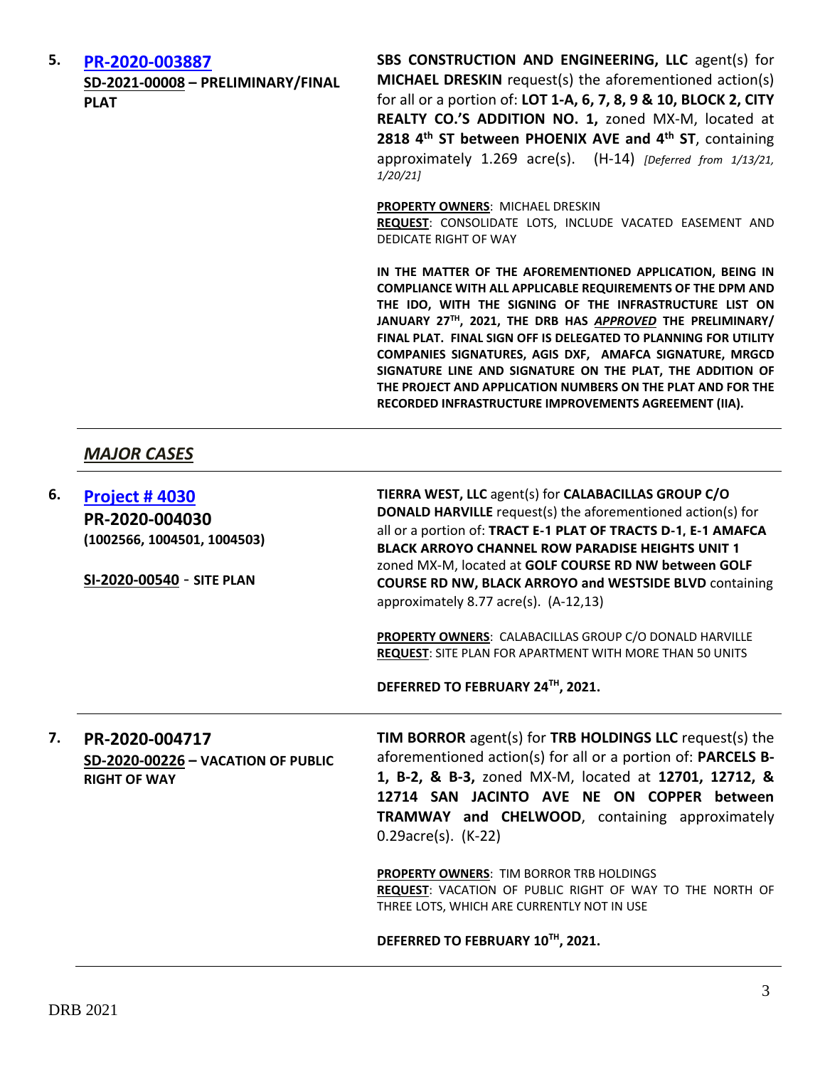#### **5. [PR-2020-003887](http://data.cabq.gov/government/planning/DRB/PR-2020-003887/DRB%20Submittals/)**

**SD-2021-00008 – PRELIMINARY/FINAL PLAT**

**SBS CONSTRUCTION AND ENGINEERING, LLC** agent(s) for **MICHAEL DRESKIN** request(s) the aforementioned action(s) for all or a portion of: **LOT 1-A, 6, 7, 8, 9 & 10, BLOCK 2, CITY REALTY CO.'S ADDITION NO. 1,** zoned MX-M, located at **2818 4th ST between PHOENIX AVE and 4th ST**, containing approximately 1.269 acre(s). (H-14) *[Deferred from 1/13/21, 1/20/21]*

**PROPERTY OWNERS**: MICHAEL DRESKIN

**REQUEST**: CONSOLIDATE LOTS, INCLUDE VACATED EASEMENT AND DEDICATE RIGHT OF WAY

**IN THE MATTER OF THE AFOREMENTIONED APPLICATION, BEING IN COMPLIANCE WITH ALL APPLICABLE REQUIREMENTS OF THE DPM AND THE IDO, WITH THE SIGNING OF THE INFRASTRUCTURE LIST ON JANUARY 27TH, 2021, THE DRB HAS** *APPROVED* **THE PRELIMINARY/ FINAL PLAT. FINAL SIGN OFF IS DELEGATED TO PLANNING FOR UTILITY COMPANIES SIGNATURES, AGIS DXF, AMAFCA SIGNATURE, MRGCD SIGNATURE LINE AND SIGNATURE ON THE PLAT, THE ADDITION OF THE PROJECT AND APPLICATION NUMBERS ON THE PLAT AND FOR THE RECORDED INFRASTRUCTURE IMPROVEMENTS AGREEMENT (IIA).**

# *MAJOR CASES*

| 6. | <b>Project #4030</b><br>PR-2020-004030<br>(1002566, 1004501, 1004503)<br>SI-2020-00540 - SITE PLAN | TIERRA WEST, LLC agent(s) for CALABACILLAS GROUP C/O<br><b>DONALD HARVILLE</b> request(s) the aforementioned action(s) for<br>all or a portion of: TRACT E-1 PLAT OF TRACTS D-1, E-1 AMAFCA<br><b>BLACK ARROYO CHANNEL ROW PARADISE HEIGHTS UNIT 1</b><br>zoned MX-M, located at GOLF COURSE RD NW between GOLF<br><b>COURSE RD NW, BLACK ARROYO and WESTSIDE BLVD containing</b><br>approximately 8.77 $\arccos 0$ . (A-12,13) |
|----|----------------------------------------------------------------------------------------------------|---------------------------------------------------------------------------------------------------------------------------------------------------------------------------------------------------------------------------------------------------------------------------------------------------------------------------------------------------------------------------------------------------------------------------------|
|    |                                                                                                    | PROPERTY OWNERS: CALABACILLAS GROUP C/O DONALD HARVILLE<br><b>REQUEST: SITE PLAN FOR APARTMENT WITH MORE THAN 50 UNITS</b>                                                                                                                                                                                                                                                                                                      |

**DEFERRED TO FEBRUARY 24TH, 2021.**

# **7. PR-2020-004717 SD-2020-00226 – VACATION OF PUBLIC RIGHT OF WAY**

**TIM BORROR** agent(s) for **TRB HOLDINGS LLC** request(s) the aforementioned action(s) for all or a portion of: **PARCELS B-1, B-2, & B-3,** zoned MX-M, located at **12701, 12712, & 12714 SAN JACINTO AVE NE ON COPPER between TRAMWAY and CHELWOOD**, containing approximately 0.29acre(s). (K-22)

**PROPERTY OWNERS**: TIM BORROR TRB HOLDINGS **REQUEST**: VACATION OF PUBLIC RIGHT OF WAY TO THE NORTH OF THREE LOTS, WHICH ARE CURRENTLY NOT IN USE

**DEFERRED TO FEBRUARY 10TH, 2021.**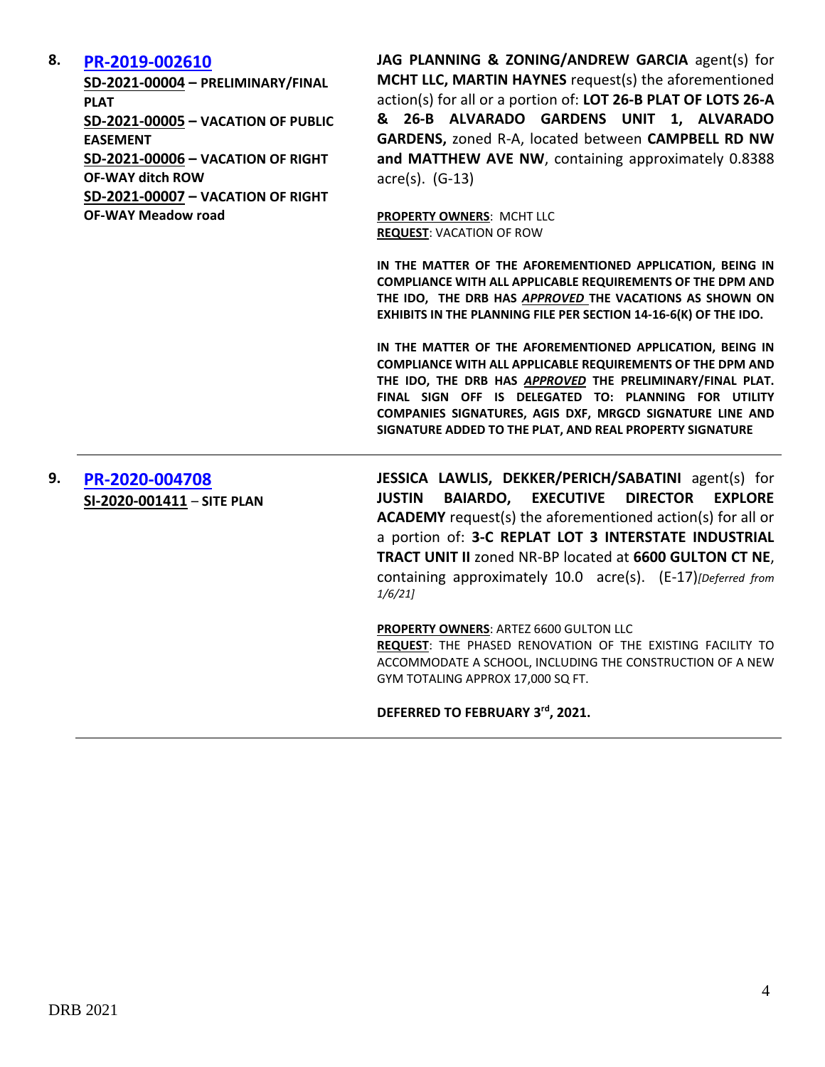### **8. [PR-2019-002610](http://data.cabq.gov/government/planning/DRB/PR-2019-002610/DRB%20Submittals/PR-2019-002610_Jan_27_2021%20(VPE,%20VRWs,%20P&F)/)**

**SD-2021-00004 – PRELIMINARY/FINAL PLAT SD-2021-00005 – VACATION OF PUBLIC EASEMENT SD-2021-00006 – VACATION OF RIGHT OF-WAY ditch ROW SD-2021-00007 – VACATION OF RIGHT OF-WAY Meadow road**

**JAG PLANNING & ZONING/ANDREW GARCIA** agent(s) for **MCHT LLC, MARTIN HAYNES** request(s) the aforementioned action(s) for all or a portion of: **LOT 26-B PLAT OF LOTS 26-A & 26-B ALVARADO GARDENS UNIT 1, ALVARADO GARDENS,** zoned R-A, located between **CAMPBELL RD NW and MATTHEW AVE NW**, containing approximately 0.8388 acre(s). (G-13)

**PROPERTY OWNERS**: MCHT LLC **REQUEST**: VACATION OF ROW

**IN THE MATTER OF THE AFOREMENTIONED APPLICATION, BEING IN COMPLIANCE WITH ALL APPLICABLE REQUIREMENTS OF THE DPM AND THE IDO, THE DRB HAS** *APPROVED* **THE VACATIONS AS SHOWN ON EXHIBITS IN THE PLANNING FILE PER SECTION 14-16-6(K) OF THE IDO.**

**IN THE MATTER OF THE AFOREMENTIONED APPLICATION, BEING IN COMPLIANCE WITH ALL APPLICABLE REQUIREMENTS OF THE DPM AND THE IDO, THE DRB HAS** *APPROVED* **THE PRELIMINARY/FINAL PLAT. FINAL SIGN OFF IS DELEGATED TO: PLANNING FOR UTILITY COMPANIES SIGNATURES, AGIS DXF, MRGCD SIGNATURE LINE AND SIGNATURE ADDED TO THE PLAT, AND REAL PROPERTY SIGNATURE**

**9. [PR-2020-004708](http://data.cabq.gov/government/planning/DRB/PR-2020-004708/DRB%20Submittals/) SI-2020-001411** – **SITE PLAN** **JESSICA LAWLIS, DEKKER/PERICH/SABATINI** agent(s) for **JUSTIN BAIARDO, EXECUTIVE DIRECTOR EXPLORE ACADEMY** request(s) the aforementioned action(s) for all or a portion of: **3-C REPLAT LOT 3 INTERSTATE INDUSTRIAL TRACT UNIT II** zoned NR-BP located at **6600 GULTON CT NE**, containing approximately 10.0 acre(s). (E-17)*[Deferred from 1/6/21]*

#### **PROPERTY OWNERS**: ARTEZ 6600 GULTON LLC

**REQUEST**: THE PHASED RENOVATION OF THE EXISTING FACILITY TO ACCOMMODATE A SCHOOL, INCLUDING THE CONSTRUCTION OF A NEW GYM TOTALING APPROX 17,000 SQ FT.

#### **DEFERRED TO FEBRUARY 3rd, 2021.**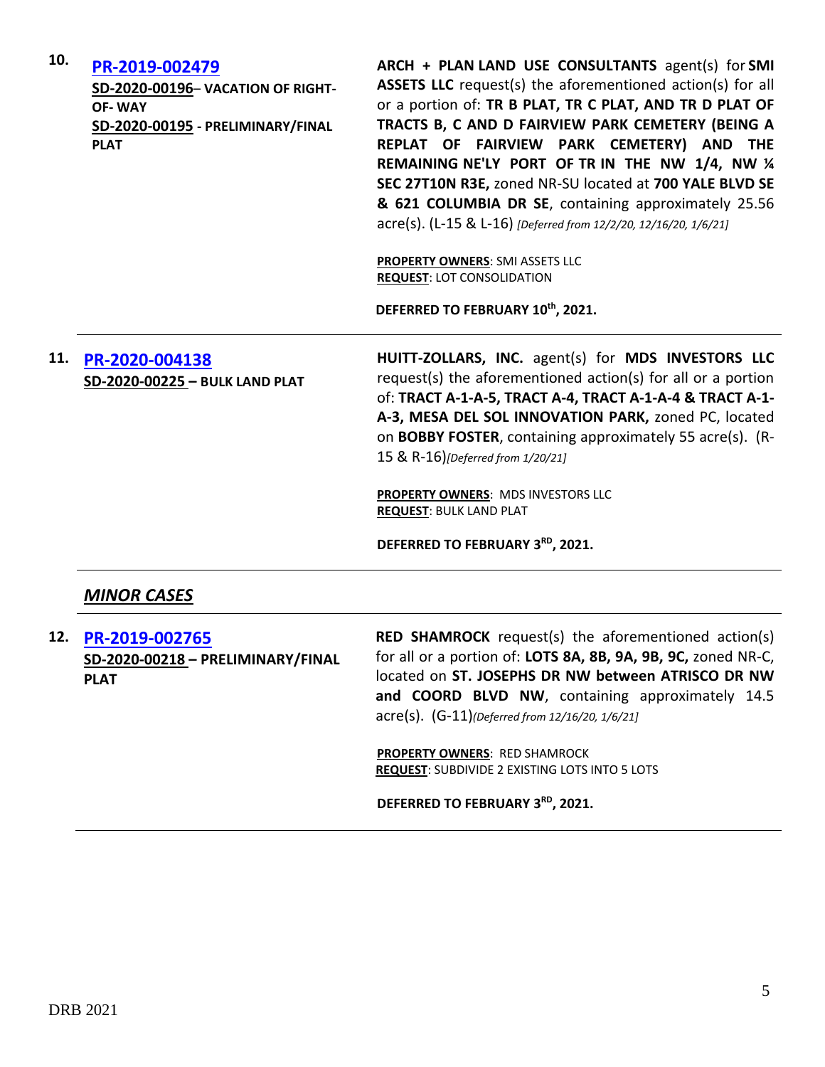| 10. | PR-2019-002479<br>SD-2020-00196- VACATION OF RIGHT-<br><b>OF-WAY</b><br>SD-2020-00195 - PRELIMINARY/FINAL<br><b>PLAT</b> | ARCH + PLAN LAND USE CONSULTANTS agent(s) for SMI<br>ASSETS LLC request(s) the aforementioned action(s) for all<br>or a portion of: TR B PLAT, TR C PLAT, AND TR D PLAT OF<br>TRACTS B, C AND D FAIRVIEW PARK CEMETERY (BEING A<br>REPLAT OF FAIRVIEW PARK CEMETERY) AND THE<br>REMAINING NE'LY PORT OF TR IN THE NW 1/4, NW 1/4<br>SEC 27T10N R3E, zoned NR-SU located at 700 YALE BLVD SE<br>& 621 COLUMBIA DR SE, containing approximately 25.56<br>acre(s). (L-15 & L-16) [Deferred from 12/2/20, 12/16/20, 1/6/21]<br>PROPERTY OWNERS: SMI ASSETS LLC<br><b>REQUEST: LOT CONSOLIDATION</b> |
|-----|--------------------------------------------------------------------------------------------------------------------------|-------------------------------------------------------------------------------------------------------------------------------------------------------------------------------------------------------------------------------------------------------------------------------------------------------------------------------------------------------------------------------------------------------------------------------------------------------------------------------------------------------------------------------------------------------------------------------------------------|
|     |                                                                                                                          | DEFERRED TO FEBRUARY 10th, 2021.                                                                                                                                                                                                                                                                                                                                                                                                                                                                                                                                                                |
| 11. | PR-2020-004138<br>SD-2020-00225 - BULK LAND PLAT                                                                         | HUITT-ZOLLARS, INC. agent(s) for MDS INVESTORS LLC<br>request(s) the aforementioned action(s) for all or a portion<br>of: TRACT A-1-A-5, TRACT A-4, TRACT A-1-A-4 & TRACT A-1-<br>A-3, MESA DEL SOL INNOVATION PARK, zoned PC, located<br>on BOBBY FOSTER, containing approximately 55 acre(s). (R-<br>15 & R-16)[Deferred from 1/20/21]                                                                                                                                                                                                                                                        |
|     |                                                                                                                          | PROPERTY OWNERS: MDS INVESTORS LLC<br><b>REQUEST: BULK LAND PLAT</b>                                                                                                                                                                                                                                                                                                                                                                                                                                                                                                                            |
|     |                                                                                                                          | DEFERRED TO FEBRUARY 3RD, 2021.                                                                                                                                                                                                                                                                                                                                                                                                                                                                                                                                                                 |
|     |                                                                                                                          |                                                                                                                                                                                                                                                                                                                                                                                                                                                                                                                                                                                                 |

- *MINOR CASES*
- **12. [PR-2019-002765](http://data.cabq.gov/government/planning/DRB/PR-2019-002765/DRB%20Submittals/) SD-2020-00218 – PRELIMINARY/FINAL PLAT**

**RED SHAMROCK** request(s) the aforementioned action(s) for all or a portion of: **LOTS 8A, 8B, 9A, 9B, 9C,** zoned NR-C, located on **ST. JOSEPHS DR NW between ATRISCO DR NW**  and COORD BLVD NW, containing approximately 14.5 acre(s). (G-11)*(Deferred from 12/16/20, 1/6/21]*

**PROPERTY OWNERS**: RED SHAMROCK **REQUEST**: SUBDIVIDE 2 EXISTING LOTS INTO 5 LOTS

**DEFERRED TO FEBRUARY 3RD, 2021.**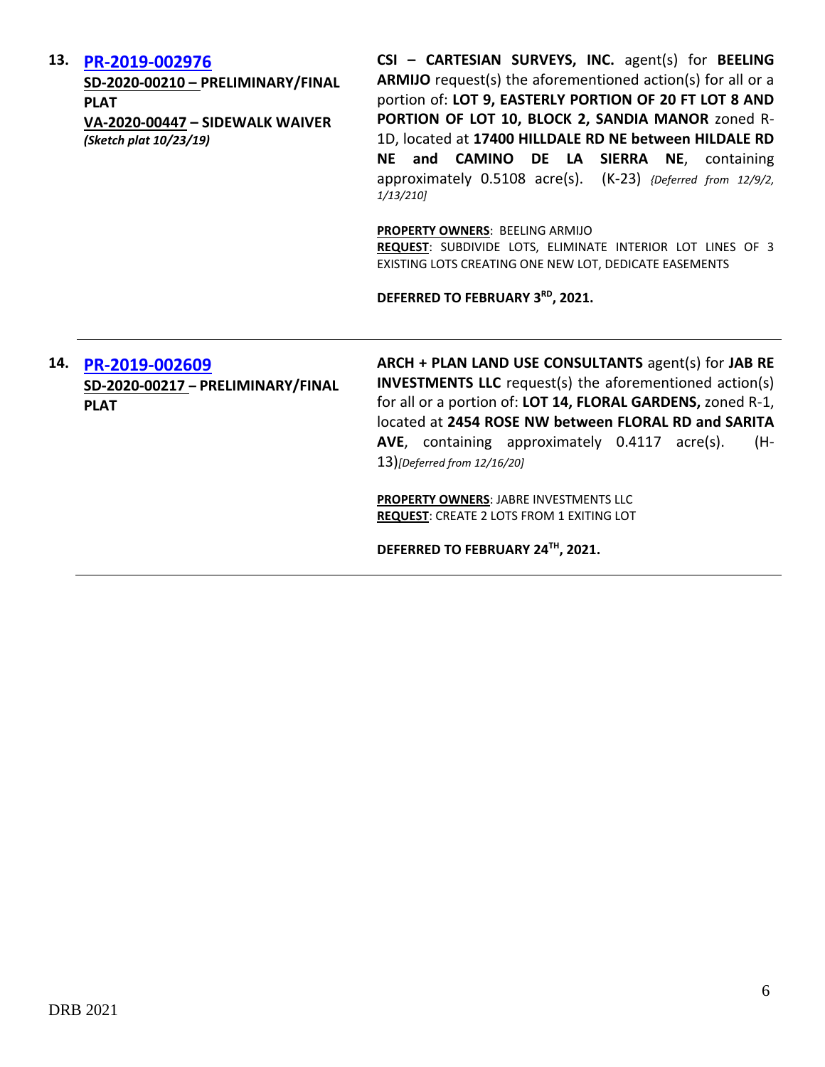#### **13. [PR-2019-002976](http://data.cabq.gov/government/planning/DRB/PR-2019-002976/DRB%20Submittals/)**

**SD-2020-00210 – PRELIMINARY/FINAL PLAT VA-2020-00447 – SIDEWALK WAIVER** *(Sketch plat 10/23/19)*

**CSI – CARTESIAN SURVEYS, INC.** agent(s) for **BEELING ARMIJO** request(s) the aforementioned action(s) for all or a portion of: **LOT 9, EASTERLY PORTION OF 20 FT LOT 8 AND PORTION OF LOT 10, BLOCK 2, SANDIA MANOR** zoned R-1D, located at **17400 HILLDALE RD NE between HILDALE RD NE and CAMINO DE LA SIERRA NE**, containing approximately 0.5108 acre(s). (K-23) *{Deferred from 12/9/2, 1/13/210]*

**PROPERTY OWNERS**: BEELING ARMIJO

**REQUEST**: SUBDIVIDE LOTS, ELIMINATE INTERIOR LOT LINES OF 3 EXISTING LOTS CREATING ONE NEW LOT, DEDICATE EASEMENTS

**DEFERRED TO FEBRUARY 3RD, 2021.**

# **14. [PR-2019-002609](http://data.cabq.gov/government/planning/DRB/PR-2019-002609/DRB%20Submittals/) SD-2020-00217 – PRELIMINARY/FINAL PLAT**

**ARCH + PLAN LAND USE CONSULTANTS** agent(s) for **JAB RE INVESTMENTS LLC** request(s) the aforementioned action(s) for all or a portion of: **LOT 14, FLORAL GARDENS,** zoned R-1, located at **2454 ROSE NW between FLORAL RD and SARITA AVE**, containing approximately 0.4117 acre(s). (H-13)*[Deferred from 12/16/20]*

**PROPERTY OWNERS**: JABRE INVESTMENTS LLC **REQUEST**: CREATE 2 LOTS FROM 1 EXITING LOT

**DEFERRED TO FEBRUARY 24TH, 2021.**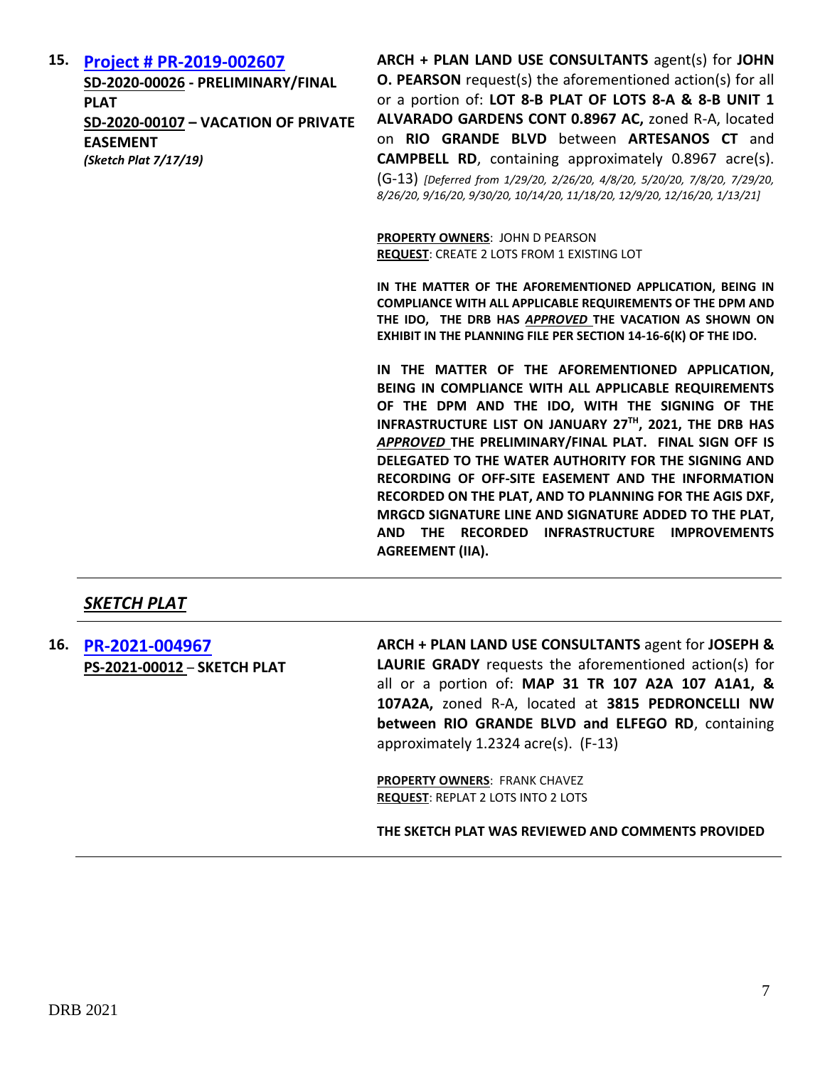#### **15. [Project # PR-2019-002607](http://data.cabq.gov/government/planning/DRB/PR-2019-002607/DRB%20Submittals/)**

**SD-2020-00026 - PRELIMINARY/FINAL PLAT SD-2020-00107 – VACATION OF PRIVATE EASEMENT** *(Sketch Plat 7/17/19)*

**ARCH + PLAN LAND USE CONSULTANTS** agent(s) for **JOHN O. PEARSON** request(s) the aforementioned action(s) for all or a portion of: **LOT 8-B PLAT OF LOTS 8-A & 8-B UNIT 1 ALVARADO GARDENS CONT 0.8967 AC,** zoned R-A, located on **RIO GRANDE BLVD** between **ARTESANOS CT** and **CAMPBELL RD**, containing approximately 0.8967 acre(s). (G-13) *[Deferred from 1/29/20, 2/26/20, 4/8/20, 5/20/20, 7/8/20, 7/29/20, 8/26/20, 9/16/20, 9/30/20, 10/14/20, 11/18/20, 12/9/20, 12/16/20, 1/13/21]*

**PROPERTY OWNERS**: JOHN D PEARSON **REQUEST**: CREATE 2 LOTS FROM 1 EXISTING LOT

**IN THE MATTER OF THE AFOREMENTIONED APPLICATION, BEING IN COMPLIANCE WITH ALL APPLICABLE REQUIREMENTS OF THE DPM AND THE IDO, THE DRB HAS** *APPROVED* **THE VACATION AS SHOWN ON EXHIBIT IN THE PLANNING FILE PER SECTION 14-16-6(K) OF THE IDO.**

**IN THE MATTER OF THE AFOREMENTIONED APPLICATION, BEING IN COMPLIANCE WITH ALL APPLICABLE REQUIREMENTS OF THE DPM AND THE IDO, WITH THE SIGNING OF THE INFRASTRUCTURE LIST ON JANUARY 27TH, 2021, THE DRB HAS**  *APPROVED* **THE PRELIMINARY/FINAL PLAT. FINAL SIGN OFF IS DELEGATED TO THE WATER AUTHORITY FOR THE SIGNING AND RECORDING OF OFF-SITE EASEMENT AND THE INFORMATION RECORDED ON THE PLAT, AND TO PLANNING FOR THE AGIS DXF, MRGCD SIGNATURE LINE AND SIGNATURE ADDED TO THE PLAT, AND THE RECORDED INFRASTRUCTURE IMPROVEMENTS AGREEMENT (IIA).**

# *SKETCH PLAT*

**16. [PR-2021-004967](http://data.cabq.gov/government/planning/DRB/PR-2021-004967/DRB%20Submittals/PR-2021-004967_Jan_27_2021%20(Sketch)/Application/SKETCH%20PLAT%20-%20LANDS%20OF%20JOE%20GRADY.pdf) PS-2021-00012** – **SKETCH PLAT** **ARCH + PLAN LAND USE CONSULTANTS** agent for **JOSEPH & LAURIE GRADY** requests the aforementioned action(s) for all or a portion of: **MAP 31 TR 107 A2A 107 A1A1, & 107A2A,** zoned R-A, located at **3815 PEDRONCELLI NW between RIO GRANDE BLVD and ELFEGO RD**, containing approximately 1.2324 acre(s). (F-13)

**PROPERTY OWNERS**: FRANK CHAVEZ **REQUEST**: REPLAT 2 LOTS INTO 2 LOTS

**THE SKETCH PLAT WAS REVIEWED AND COMMENTS PROVIDED**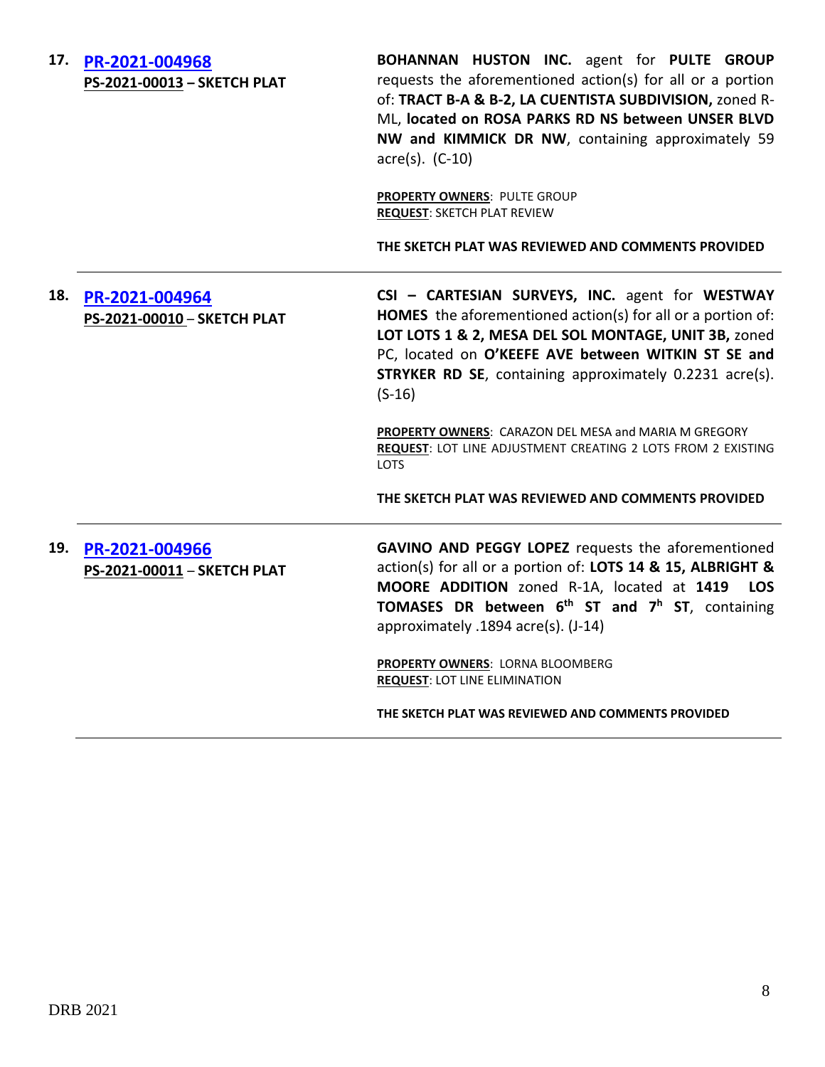| 17. | PR-2021-004968<br>PS-2021-00013 - SKETCH PLAT | BOHANNAN HUSTON INC. agent for PULTE GROUP<br>requests the aforementioned action(s) for all or a portion<br>of: TRACT B-A & B-2, LA CUENTISTA SUBDIVISION, zoned R-<br>ML, located on ROSA PARKS RD NS between UNSER BLVD<br>NW and KIMMICK DR NW, containing approximately 59<br>$\arccos 0$ . (C-10)<br>PROPERTY OWNERS: PULTE GROUP<br><b>REQUEST: SKETCH PLAT REVIEW</b> |
|-----|-----------------------------------------------|------------------------------------------------------------------------------------------------------------------------------------------------------------------------------------------------------------------------------------------------------------------------------------------------------------------------------------------------------------------------------|
|     |                                               | THE SKETCH PLAT WAS REVIEWED AND COMMENTS PROVIDED                                                                                                                                                                                                                                                                                                                           |
| 18. | PR-2021-004964<br>PS-2021-00010 - SKETCH PLAT | CSI - CARTESIAN SURVEYS, INC. agent for WESTWAY<br>HOMES the aforementioned action(s) for all or a portion of:<br>LOT LOTS 1 & 2, MESA DEL SOL MONTAGE, UNIT 3B, zoned<br>PC, located on O'KEEFE AVE between WITKIN ST SE and<br><b>STRYKER RD SE, containing approximately 0.2231 acre(s).</b><br>$(S-16)$                                                                  |
|     |                                               | PROPERTY OWNERS: CARAZON DEL MESA and MARIA M GREGORY<br>REQUEST: LOT LINE ADJUSTMENT CREATING 2 LOTS FROM 2 EXISTING<br><b>LOTS</b>                                                                                                                                                                                                                                         |
|     |                                               | THE SKETCH PLAT WAS REVIEWED AND COMMENTS PROVIDED                                                                                                                                                                                                                                                                                                                           |
| 19. | PR-2021-004966<br>PS-2021-00011 - SKETCH PLAT | GAVINO AND PEGGY LOPEZ requests the aforementioned<br>action(s) for all or a portion of: LOTS 14 & 15, ALBRIGHT &<br>MOORE ADDITION zoned R-1A, located at 1419<br><b>LOS</b><br><b>TOMASES</b> DR between $6^{th}$ ST and $7^{h}$ ST, containing<br>approximately .1894 acre(s). (J-14)                                                                                     |
|     |                                               | PROPERTY OWNERS: LORNA BLOOMBERG<br><b>REQUEST: LOT LINE ELIMINATION</b>                                                                                                                                                                                                                                                                                                     |
|     |                                               | THE SKETCH PLAT WAS REVIEWED AND COMMENTS PROVIDED                                                                                                                                                                                                                                                                                                                           |